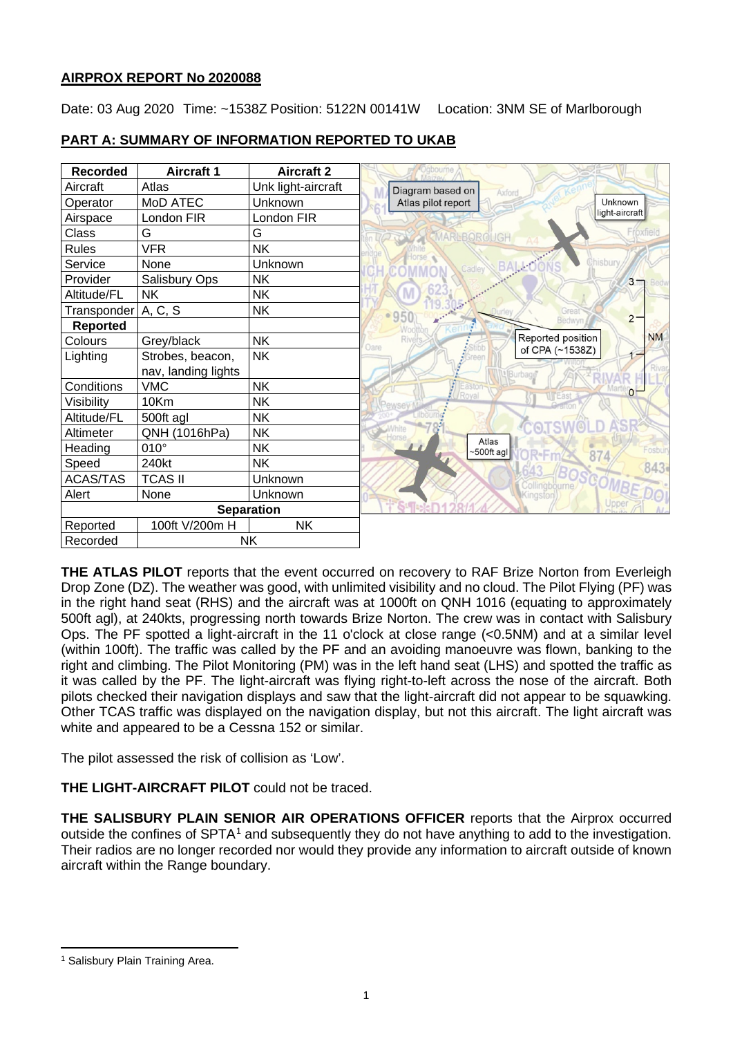# **AIRPROX REPORT No 2020088**

Date: 03 Aug 2020 Time: ~1538Z Position: 5122N 00141W Location: 3NM SE of Marlborough



# **PART A: SUMMARY OF INFORMATION REPORTED TO UKAB**

**THE ATLAS PILOT** reports that the event occurred on recovery to RAF Brize Norton from Everleigh Drop Zone (DZ). The weather was good, with unlimited visibility and no cloud. The Pilot Flying (PF) was in the right hand seat (RHS) and the aircraft was at 1000ft on QNH 1016 (equating to approximately 500ft agl), at 240kts, progressing north towards Brize Norton. The crew was in contact with Salisbury Ops. The PF spotted a light-aircraft in the 11 o'clock at close range (<0.5NM) and at a similar level (within 100ft). The traffic was called by the PF and an avoiding manoeuvre was flown, banking to the right and climbing. The Pilot Monitoring (PM) was in the left hand seat (LHS) and spotted the traffic as it was called by the PF. The light-aircraft was flying right-to-left across the nose of the aircraft. Both pilots checked their navigation displays and saw that the light-aircraft did not appear to be squawking. Other TCAS traffic was displayed on the navigation display, but not this aircraft. The light aircraft was white and appeared to be a Cessna 152 or similar.

The pilot assessed the risk of collision as 'Low'.

**THE LIGHT-AIRCRAFT PILOT** could not be traced.

**THE SALISBURY PLAIN SENIOR AIR OPERATIONS OFFICER** reports that the Airprox occurred outside the confines of SPTA<sup>[1](#page-0-0)</sup> and subsequently they do not have anything to add to the investigation. Their radios are no longer recorded nor would they provide any information to aircraft outside of known aircraft within the Range boundary.

<span id="page-0-0"></span><sup>&</sup>lt;sup>1</sup> Salisbury Plain Training Area.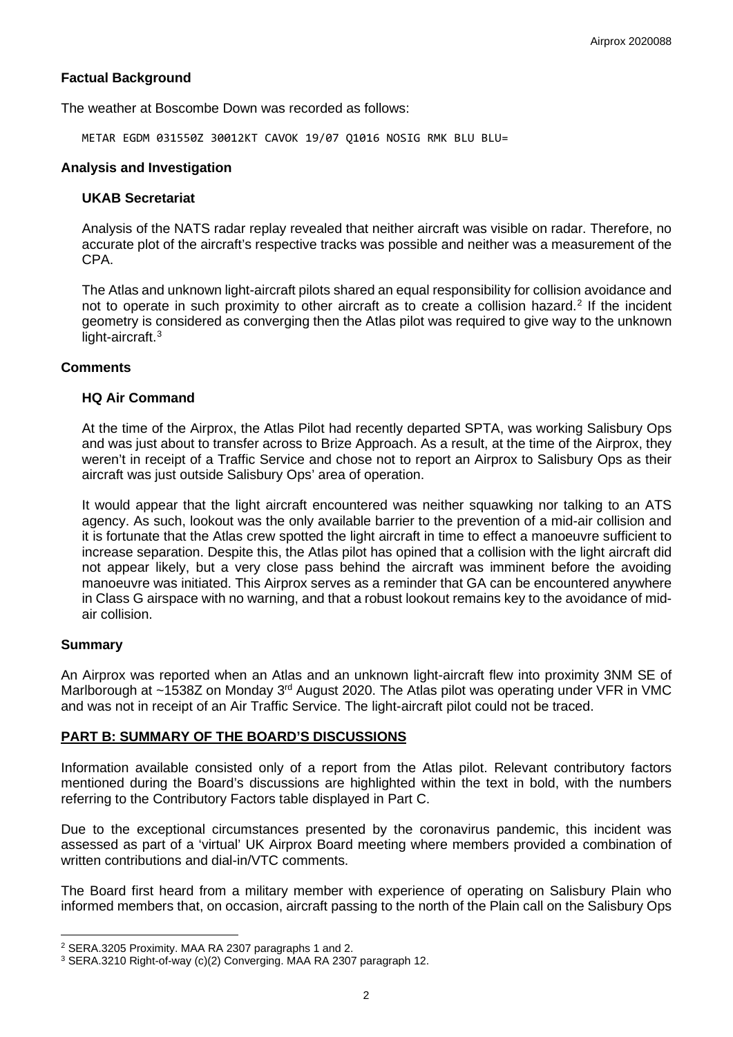### **Factual Background**

The weather at Boscombe Down was recorded as follows:

METAR EGDM 031550Z 30012KT CAVOK 19/07 Q1016 NOSIG RMK BLU BLU=

#### **Analysis and Investigation**

## **UKAB Secretariat**

Analysis of the NATS radar replay revealed that neither aircraft was visible on radar. Therefore, no accurate plot of the aircraft's respective tracks was possible and neither was a measurement of the CPA.

The Atlas and unknown light-aircraft pilots shared an equal responsibility for collision avoidance and not to operate in such proximity to other aircraft as to create a collision hazard. [2](#page-1-0) If the incident geometry is considered as converging then the Atlas pilot was required to give way to the unknown light-aircraft.<sup>[3](#page-1-1)</sup>

### **Comments**

### **HQ Air Command**

At the time of the Airprox, the Atlas Pilot had recently departed SPTA, was working Salisbury Ops and was just about to transfer across to Brize Approach. As a result, at the time of the Airprox, they weren't in receipt of a Traffic Service and chose not to report an Airprox to Salisbury Ops as their aircraft was just outside Salisbury Ops' area of operation.

It would appear that the light aircraft encountered was neither squawking nor talking to an ATS agency. As such, lookout was the only available barrier to the prevention of a mid-air collision and it is fortunate that the Atlas crew spotted the light aircraft in time to effect a manoeuvre sufficient to increase separation. Despite this, the Atlas pilot has opined that a collision with the light aircraft did not appear likely, but a very close pass behind the aircraft was imminent before the avoiding manoeuvre was initiated. This Airprox serves as a reminder that GA can be encountered anywhere in Class G airspace with no warning, and that a robust lookout remains key to the avoidance of midair collision.

#### **Summary**

An Airprox was reported when an Atlas and an unknown light-aircraft flew into proximity 3NM SE of Marlborough at ~1538Z on Monday 3<sup>rd</sup> August 2020. The Atlas pilot was operating under VFR in VMC and was not in receipt of an Air Traffic Service. The light-aircraft pilot could not be traced.

## **PART B: SUMMARY OF THE BOARD'S DISCUSSIONS**

Information available consisted only of a report from the Atlas pilot. Relevant contributory factors mentioned during the Board's discussions are highlighted within the text in bold, with the numbers referring to the Contributory Factors table displayed in Part C.

Due to the exceptional circumstances presented by the coronavirus pandemic, this incident was assessed as part of a 'virtual' UK Airprox Board meeting where members provided a combination of written contributions and dial-in/VTC comments.

The Board first heard from a military member with experience of operating on Salisbury Plain who informed members that, on occasion, aircraft passing to the north of the Plain call on the Salisbury Ops

<span id="page-1-0"></span><sup>2</sup> SERA.3205 Proximity. MAA RA 2307 paragraphs 1 and 2.

<span id="page-1-1"></span><sup>3</sup> SERA.3210 Right-of-way (c)(2) Converging. MAA RA 2307 paragraph 12.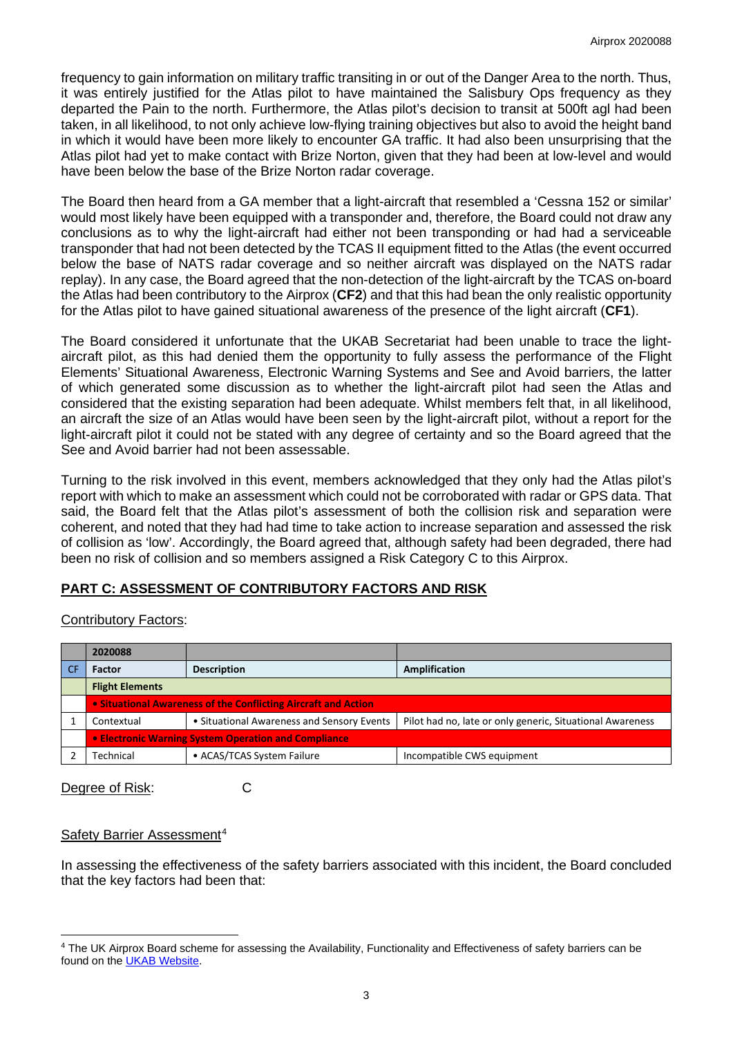frequency to gain information on military traffic transiting in or out of the Danger Area to the north. Thus, it was entirely justified for the Atlas pilot to have maintained the Salisbury Ops frequency as they departed the Pain to the north. Furthermore, the Atlas pilot's decision to transit at 500ft agl had been taken, in all likelihood, to not only achieve low-flying training objectives but also to avoid the height band in which it would have been more likely to encounter GA traffic. It had also been unsurprising that the Atlas pilot had yet to make contact with Brize Norton, given that they had been at low-level and would have been below the base of the Brize Norton radar coverage.

The Board then heard from a GA member that a light-aircraft that resembled a 'Cessna 152 or similar' would most likely have been equipped with a transponder and, therefore, the Board could not draw any conclusions as to why the light-aircraft had either not been transponding or had had a serviceable transponder that had not been detected by the TCAS II equipment fitted to the Atlas (the event occurred below the base of NATS radar coverage and so neither aircraft was displayed on the NATS radar replay). In any case, the Board agreed that the non-detection of the light-aircraft by the TCAS on-board the Atlas had been contributory to the Airprox (**CF2**) and that this had bean the only realistic opportunity for the Atlas pilot to have gained situational awareness of the presence of the light aircraft (**CF1**).

The Board considered it unfortunate that the UKAB Secretariat had been unable to trace the lightaircraft pilot, as this had denied them the opportunity to fully assess the performance of the Flight Elements' Situational Awareness, Electronic Warning Systems and See and Avoid barriers, the latter of which generated some discussion as to whether the light-aircraft pilot had seen the Atlas and considered that the existing separation had been adequate. Whilst members felt that, in all likelihood, an aircraft the size of an Atlas would have been seen by the light-aircraft pilot, without a report for the light-aircraft pilot it could not be stated with any degree of certainty and so the Board agreed that the See and Avoid barrier had not been assessable.

Turning to the risk involved in this event, members acknowledged that they only had the Atlas pilot's report with which to make an assessment which could not be corroborated with radar or GPS data. That said, the Board felt that the Atlas pilot's assessment of both the collision risk and separation were coherent, and noted that they had had time to take action to increase separation and assessed the risk of collision as 'low'. Accordingly, the Board agreed that, although safety had been degraded, there had been no risk of collision and so members assigned a Risk Category C to this Airprox.

# **PART C: ASSESSMENT OF CONTRIBUTORY FACTORS AND RISK**

## Contributory Factors:

| 2020088                                                               |                                            |                                                           |  |  |  |  |
|-----------------------------------------------------------------------|--------------------------------------------|-----------------------------------------------------------|--|--|--|--|
| <b>Factor</b>                                                         | <b>Description</b>                         | Amplification                                             |  |  |  |  |
| <b>Flight Elements</b>                                                |                                            |                                                           |  |  |  |  |
| <b>.</b> Situational Awareness of the Conflicting Aircraft and Action |                                            |                                                           |  |  |  |  |
| Contextual                                                            | • Situational Awareness and Sensory Events | Pilot had no, late or only generic, Situational Awareness |  |  |  |  |
| • Electronic Warning System Operation and Compliance                  |                                            |                                                           |  |  |  |  |
| Technical                                                             | • ACAS/TCAS System Failure                 | Incompatible CWS equipment                                |  |  |  |  |

Degree of Risk: C

## Safety Barrier Assessment<sup>[4](#page-2-0)</sup>

In assessing the effectiveness of the safety barriers associated with this incident, the Board concluded that the key factors had been that:

<span id="page-2-0"></span><sup>4</sup> The UK Airprox Board scheme for assessing the Availability, Functionality and Effectiveness of safety barriers can be found on the [UKAB Website.](http://www.airproxboard.org.uk/Learn-more/Airprox-Barrier-Assessment/)